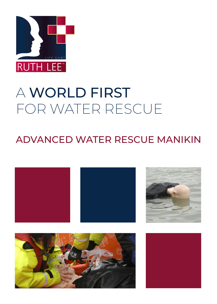

# A WORLD FIRST FOR WATER RESCUE

# ADVANCED WATER RESCUE MANIKIN

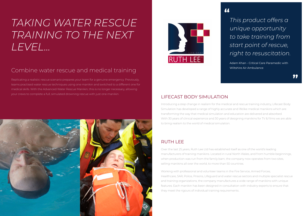# *TAKING WATER RESCUE TRAINING TO THE NEXT LEVEL...*

# Combine water rescue and medical training

Replicating a realistic rescue scenario prepares your team for a genuine emergency. Previously, teams practised water rescue techniques using one manikin and switched to a different one for medical skills. With the Advanced Water Rescue Manikin, this is no longer necessary, allowing your crews to complete a full, simulated drowning rescue with just one manikin.





# *This product offers a unique opportunity to take training from start point of rescue, right to resuscitation.*

Adam Khan - Critical Care Paramedic with Wiltshire Air Ambulance





# LIFECAST BODY SIMULATION

Introducing a step change in realism for the medical and rescue training industry, Lifecast Body Simulation has developed a range of highly accurate and lifelike medical manikins which are transforming the way that medical simulation and education are delivered and absorbed. With 30 years of clinical experience and 30 years of designing manikins for TV & films we are able to bring realism to the world of medical simulation.

# RUTH LEE

Over the last 25 years, Ruth Lee Ltd has established itself as one of the world's leading manufacturers of training manikins. Located in rural North Wales, and from humble beginnings, when production was run from the family barn, the company now operates from two sites, selling manikins all over the world, to more than 50 countries.

Working with professional and volunteer teams in the Fire Service, Armed Forces, Healthcare, SAR, Police, Prisons, Lifeguard and water rescue sectors and multiple specialist rescue and training organizations, the company manufactures a wide range of manikins with unique features. Each manikin has been designed in consultation with industry experts to ensure that they meet the rigours of individual training requirements .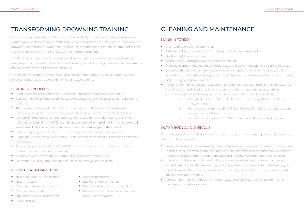# CLEANING AND MAINTENANCE

#### MANIKIN TORSO

- **•** Wash with a soft sponge and water.
- **•** A PH neutral, non-coloured mild liquid soap may be used if required.
- **•** Dry thoroughly before storing.
- **•** Do not use any abrasive cleaning agents or materials.
- **•** Once clean and dry, bodies can be lightly dusted with talcum powder to dull any shiny areas.
- **•** We advise that after each training session, before you put the manikin in storage, you flush water through the valve and lung system by gently inserting a hosepipe into the mouth cavity and running for approx. 1 minute.
- **•** If storing the manikin between sessions or if the manikin has been used in brackish water, we would recommend flushing a cleaning agent through the valve and lung system. In particular, look for the following specifications on appropriate cleaning products
	- 1.8% V/V EN13697.
	- (agent responsible for thrush).
	-

o Bactericidal : in 5 minutes EN1040, EN1276 (including MRSA), EN 14561 and at

o Fungicidal : in 15 minutes EN1275, EN 1650 and EN14562 on Candida albicans

o Virucidal : in 15 minutes NF T72-180. Effective on Rotavirus and Coronavirus.

#### OUTER BODY AND OVERALLS

The main body of the manikin is manufactured using a sturdy waterproof polyester that is easy to clean and decontaminate.

**•** Water rescue manikins are designed to allow the ingress of water during use and it important that this water is allowed to drain out after use. We recommended that the manikin is hung suitable cleaning fluid before washing with soapy water to remove traces of the cleaning fluid. Please be aware that bleach or caustic based cleaning fluids will start to have a detrimental

- up using the large webbing loop to the back and that the wellington boots are removed.
- **•** If the manikin becomes soiled with oil or other similar substances, carefully clean using a effect on the fabric integrity.
- **•** Although the manikin is made from tough, waterproof polyester, always ensure that it is completely dry before stowing.

# TRANSFORMING DROWNING TRAINING

Combining the ultra-realistic technology of Lifecast Body Simulation with the protective and rugged Ruth Lee body means that the manikin can be used to accurately simulate the rescue of drowning victim from the water, allowing rescuers and medical practitioners to train more effectively and more quickly, under pressure and in hostile conditions.

The Ruth Lee outer body aids buoyancy in all waters, whether open waters, pools, lakes and rivers helping to maintain the body in the drowned position ensuring the advanced water rescue manikin is protected in hostile environments.

The manikin replicates hydrostatic squeeze, meaning that both dry and wet lung drowning skills can be perfected - a world first for water rescue training.

#### FEATURES & BENEFITS

- **•** A high-tech drowning torso from Lifecast for ultra-realistic medical skills training.
- **•** Specialist technology replicated hydrostatic squeeze to allow for wet or dry lung drowning scenarios.
- **•** The manikin is designed to mimic a drowned person in the water it floats like an unconscious person but can also be weighted to sink or increase the realism of rescue.
- **•** Pockets on arms, legs, chest and back to allow for additional divers weights or equivalent to be added (a maximum of 10kg can be added before the manikin will sink and we would advise use of a buoyancy aid if you plan to add any more weight to the manikin).
- **•** Cardiopulmonary Resuscitation chest compression 5-6cm with built in recoil.
- **•** Supplied with easy drain wellingtons OR soft shoes to allow military uniforms to be dressed over carcass.
- **•** Easy access point to reach drainage/fill 3 way tube lets you introduce liquid to replicate ' foaming' as part of a wet lung rescue.
- **•** Anatomically correct weight distribution for the 'feel' of a real casualty.
- **•** Dry weight 50kgs in total (with soft feet) or 52kgs (with wellington boots).

#### KEY MEDICAL PARAMETERS

- **•** Nasopharyngeal Airway insertion
- **•** Nasal intubation
- **•** Oropharyngeal Airway insertion
- **•** Oro tracheal intubation
- **•** Laryngeal Mask airway insertion
- **•** i-gel® insertion
- **•** Combitube insertion
- **•** Bag valve Mask ventilation
- **•** Mechanical Ventilator compatibility
- **•** Manual suction or mechanical suction of nasal and oral cavities.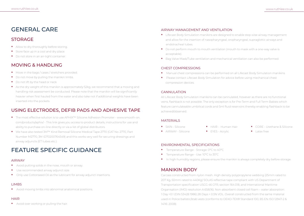# FEATURE SPECIFIC GUIDANCE

#### AIRWAY

- **•** Avoid putting solids in the nose, mouth or airway.
- **•** Use recommended airway adjunct size.
- **•** Only use Cottonseed Oil as the lubricant for airway adjunct insertions.

**•** CORE - Urethane & Silicone • Latex free

## LIMBS

**•** Avoid moving limbs into abnormal anatomical positions.

## **HAIR**

**•** Avoid over working or pulling the hair.

- **•** SKIN Silicone
- **•** AIRWAY Silicone
- **•** HAIR Human Hair
- **•** EYES Acrylic

#### MATERIALS

# ENVIRONMENTAL SPECIFICATIONS

- **•** Temperature Range Storage: 0ºC to 40ºC
- **•** Temperature Range Use: 10ºC to 35ºC
- **•** In high humidity regions, please ensure the manikin is always completely dry before storage.

# MANIKIN BODY

Carcass constructed from nylon mesh. High density polypropylene webbing (25mm rated to 207 Kg, 50mm rated to 440Kg) SOLAS reflective tape compliant with US Department of Transportation specification USCG 46 CFR, section 164.018, and International Maritime Organisation (IMO) resolution A.658(16). Non-absorbent closed cell foam – water absorption: 1 Day <0.1 (DIN 53428 1986) 28 Days < 0.5% VOL. Overall constructed from the same material used in Police ballistic/stab vests (conforms to OEKO-TEX® Standard 100, BS EN ISO 12947-2 & 14116: 2008).

# AIRWAY MANAGEMENT AND VENTILATION

- **•** Lifecast Body Simulation manikins are designed to enable step wise airway management and allow for the insertion of nasopharyngeal, oropharyngeal, supraglottic airways and endotracheal tubes.
- **•** Do not perform mouth to mouth ventilation (mouth to mask with a one-way valve is acceptable).
- **•** Bag Valve Mask/Tube ventilation and mechanical ventilation can also be performed.

# CHEST COMPRESSIONS

- **•** Manual chest compressions can be performed on all Lifecast Body Simulation manikins.
- **•** Please contact Lifecast Body SImulation for advice before using mechanical chest compression devices.

## **CANNULATION**

All Lifecast Body Simulation manikins can be cannulated, however as there are no functional veins, flashback is not possible. The only exception is for Pre-Term and Full Term Babies which feature cannulateable umbilical cords and 5ml fluid reservoirs thereby enabling flashback to be achieved/observed.

# MOVING & HANDLING

- **•** Move in the bags / cases / stretchers provided.
- **•** Do not move by pulling the manikin limbs.
- **•** Do not lift by the head or neck
- **•** As the dry weight of this manikin is approximately 52kg, we recommend that a moving and handling risk assessment be conducted. Please note that the manikin will be significantly heavier when first hauled from the water and also take not if additional weights have been inserted into the pockets.

# USING ELECTRODES, DEFIB PADS AND ADHESIVE TAPE

- **•** The most effective solution is to use APHIX™ Silicone Adhesion Promoter www.smooth-on. com/products/aphix/ - This link gives you access to product details, instructions for use and ability to purchase on-line directly or via a list of global distributors.
- **•** We have also tested 3M™ Kind Removal Silicone Medical Tape 2770 (CAT No. 2770, Part Number M2770, 3M ID70200764549) and this works very well for securing dressings and airway adjuncts (ET tubes etc.).

# GENERAL CARE

# STORAGE

- **•** Allow to dry thoroughly before storing.
- **•** Store face up in a cool and dry place.
- **•** Do not store in an air-tight container.